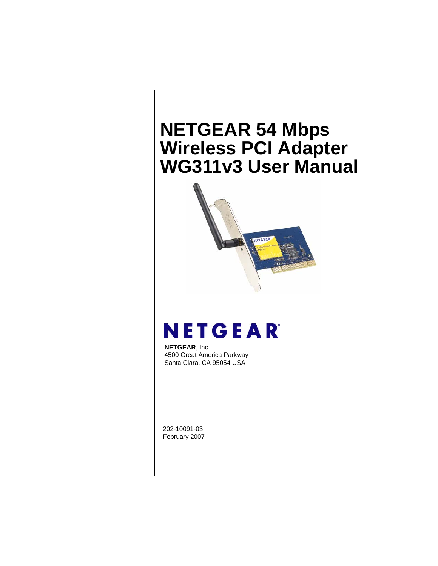# **NETGEAR 54 Mbps Wireless PCI Adapter WG311v3 User Manual**



# NETGEAR

**NETGEAR**, Inc. 4500 Great America Parkway Santa Clara, CA 95054 USA

202-10091-03 February 2007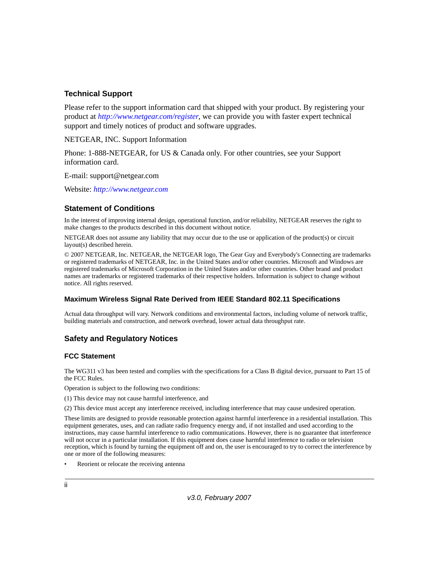### **Technical Support**

Please refer to the support information card that shipped with your product. By registering your product at *<http://www.netgear.com/register>*, we can provide you with faster expert technical support and timely notices of product and software upgrades.

NETGEAR, INC. Support Information

Phone: 1-888-NETGEAR, for US & Canada only. For other countries, see your Support information card.

E-mail: support@netgear.com

Website:*<http://www.netgear.com>*

### **Statement of Conditions**

In the interest of improving internal design, operational function, and/or reliability, NETGEAR reserves the right to make changes to the products described in this document without notice.

NETGEAR does not assume any liability that may occur due to the use or application of the product(s) or circuit layout(s) described herein.

© 2007 NETGEAR, Inc. NETGEAR, the NETGEAR logo, The Gear Guy and Everybody's Connecting are trademarks or registered trademarks of NETGEAR, Inc. in the United States and/or other countries. Microsoft and Windows are registered trademarks of Microsoft Corporation in the United States and/or other countries. Other brand and product names are trademarks or registered trademarks of their respective holders. Information is subject to change without notice. All rights reserved.

### **Maximum Wireless Signal Rate Derived from IEEE Standard 802.11 Specifications**

Actual data throughput will vary. Network conditions and environmental factors, including volume of network traffic, building materials and construction, and network overhead, lower actual data throughput rate.

### **Safety and Regulatory Notices**

### **FCC Statement**

The WG311 v3 has been tested and complies with the specifications for a Class B digital device, pursuant to Part 15 of the FCC Rules.

Operation is subject to the following two conditions:

(1) This device may not cause harmful interference, and

(2) This device must accept any interference received, including interference that may cause undesired operation.

These limits are designed to provide reasonable protection against harmful interference in a residential installation. This equipment generates, uses, and can radiate radio frequency energy and, if not installed and used according to the instructions, may cause harmful interference to radio communications. However, there is no guarantee that interference will not occur in a particular installation. If this equipment does cause harmful interference to radio or television reception, which is found by turning the equipment off and on, the user is encouraged to try to correct the interference by one or more of the following measures:

Reorient or relocate the receiving antenna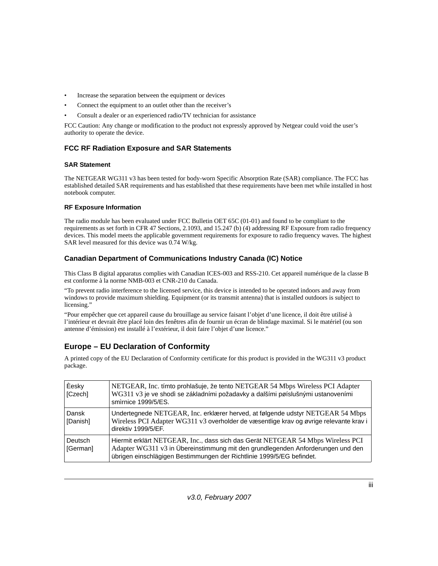- Increase the separation between the equipment or devices
- Connect the equipment to an outlet other than the receiver's
- Consult a dealer or an experienced radio/TV technician for assistance

FCC Caution: Any change or modification to the product not expressly approved by Netgear could void the user's authority to operate the device.

### **FCC RF Radiation Exposure and SAR Statements**

#### **SAR Statement**

The NETGEAR WG311 v3 has been tested for body-worn Specific Absorption Rate (SAR) compliance. The FCC has established detailed SAR requirements and has established that these requirements have been met while installed in host notebook computer.

#### **RF Exposure Information**

The radio module has been evaluated under FCC Bulletin OET 65C (01-01) and found to be compliant to the requirements as set forth in CFR 47 Sections, 2.1093, and 15.247 (b) (4) addressing RF Exposure from radio frequency devices. This model meets the applicable government requirements for exposure to radio frequency waves. The highest SAR level measured for this device was 0.74 W/kg.

### **Canadian Department of Communications Industry Canada (IC) Notice**

This Class B digital apparatus complies with Canadian ICES-003 and RSS-210. Cet appareil numérique de la classe B est conforme à la norme NMB-003 et CNR-210 du Canada.

"To prevent radio interference to the licensed service, this device is intended to be operated indoors and away from windows to provide maximum shielding. Equipment (or its transmit antenna) that is installed outdoors is subject to licensing."

"Pour empêcher que cet appareil cause du brouillage au service faisant l'objet d'une licence, il doit être utilisé à l'intérieur et devrait être placé loin des fenêtres afin de fournir un écran de blindage maximal. Si le matériel (ou son antenne d'émission) est installé à l'extérieur, il doit faire l'objet d'une licence."

### **Europe – EU Declaration of Conformity**

A printed copy of the EU Declaration of Conformity certificate for this product is provided in the WG311 v3 product package.

| Èesky<br>[Czech]    | NETGEAR, Inc. tímto prohlašuje, že tento NETGEAR 54 Mbps Wireless PCI Adapter<br>WG311 v3 je ve shodì se základními požadavky a dalšími pøíslušnými ustanoveními<br>smìrnice 1999/5/ES.                                                     |
|---------------------|---------------------------------------------------------------------------------------------------------------------------------------------------------------------------------------------------------------------------------------------|
| Dansk<br>[Danish]   | Undertegnede NETGEAR, Inc. erklærer herved, at følgende udstyr NETGEAR 54 Mbps<br>Wireless PCI Adapter WG311 v3 overholder de væsentlige krav og øvrige relevante krav i<br>direktiv 1999/5/EF.                                             |
| Deutsch<br>[German] | Hiermit erklärt NETGEAR, Inc., dass sich das Gerät NETGEAR 54 Mbps Wireless PCI<br>Adapter WG311 v3 in Übereinstimmung mit den grundlegenden Anforderungen und den<br>übrigen einschlägigen Bestimmungen der Richtlinie 1999/5/EG befindet. |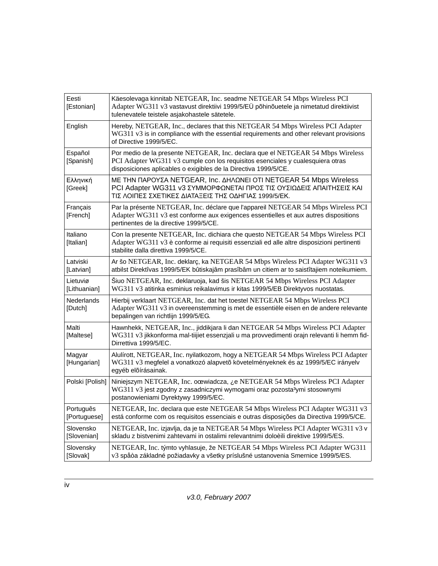| Eesti<br>[Estonian]          | Käesolevaga kinnitab NETGEAR, Inc. seadme NETGEAR 54 Mbps Wireless PCI<br>Adapter WG311 v3 vastavust direktiivi 1999/5/EÜ põhinõuetele ja nimetatud direktiivist<br>tulenevatele teistele asjakohastele sätetele.                   |
|------------------------------|-------------------------------------------------------------------------------------------------------------------------------------------------------------------------------------------------------------------------------------|
| English                      | Hereby, NETGEAR, Inc., declares that this NETGEAR 54 Mbps Wireless PCI Adapter<br>$WG311 v3$ is in compliance with the essential requirements and other relevant provisions<br>of Directive 1999/5/EC.                              |
| Español<br>[Spanish]         | Por medio de la presente NETGEAR, Inc. declara que el NETGEAR 54 Mbps Wireless<br>PCI Adapter WG311 v3 cumple con los requisitos esenciales y cualesquiera otras<br>disposiciones aplicables o exigibles de la Directiva 1999/5/CE. |
| Ελληνική<br>[Greek]          | ΜΕ ΤΗΝ ΠΑΡΟΥΣΑ NETGEAR, Inc. ΔΗΛΩΝΕΙ ΟΤΙ NETGEAR 54 Mbps Wireless<br>PCI Adapter WG311 v3 ΣΥΜΜΟΡΦΩΝΕΤΑΙ ΠΡΟΣ ΤΙΣ ΟΥΣΙΩΔΕΙΣ ΑΠΑΙΤΗΣΕΙΣ ΚΑΙ<br>ΤΙΣ ΛΟΙΠΕΣ ΣΧΕΤΙΚΕΣ ΔΙΑΤΑΞΕΙΣ ΤΗΣ ΟΔΗΓΙΑΣ 1999/5/ΕΚ.                                   |
| Français<br>[French]         | Par la présente NETGEAR, Inc. déclare que l'appareil NETGEAR 54 Mbps Wireless PCI<br>Adapter WG311 v3 est conforme aux exigences essentielles et aux autres dispositions<br>pertinentes de la directive 1999/5/CE.                  |
| Italiano<br>[Italian]        | Con la presente NETGEAR, Inc. dichiara che questo NETGEAR 54 Mbps Wireless PCI<br>Adapter WG311 v3 è conforme ai requisiti essenziali ed alle altre disposizioni pertinenti<br>stabilite dalla direttiva 1999/5/CE.                 |
| Latviski<br>[Latvian]        | Ar šo NETGEAR, Inc. deklarç, ka NETGEAR 54 Mbps Wireless PCI Adapter WG311 v3<br>atbilst Direktîvas 1999/5/EK bûtiskajâm prasîbâm un citiem ar to saistîtajiem noteikumiem.                                                         |
| Lietuviø<br>[Lithuanian]     | Šiuo NETGEAR, Inc. deklaruoja, kad šis NETGEAR 54 Mbps Wireless PCI Adapter<br>WG311 v3 atitinka esminius reikalavimus ir kitas 1999/5/EB Direktyvos nuostatas.                                                                     |
| <b>Nederlands</b><br>[Dutch] | Hierbij verklaart NETGEAR, Inc. dat het toestel NETGEAR 54 Mbps Wireless PCI<br>Adapter WG311 v3 in overeenstemming is met de essentiële eisen en de andere relevante<br>bepalingen van richtlijn 1999/5/EG.                        |
| Malti<br>[Maltese]           | Hawnhekk, NETGEAR, Inc., jiddikjara li dan NETGEAR 54 Mbps Wireless PCI Adapter<br>WG311 v3 jikkonforma mal-tiijiet essenzjali u ma provvedimenti orajn relevanti li hemm fid-<br>Dirrettiva 1999/5/EC.                             |
| Magyar<br>[Hungarian]        | Alulírott, NETGEAR, Inc. nyilatkozom, hogy a NETGEAR 54 Mbps Wireless PCI Adapter<br>WG311 v3 megfelel a vonatkozó alapvető követelményeknek és az 1999/5/EC irányelv<br>egyéb előírásainak.                                        |
| Polski [Polish]              | Niniejszym NETGEAR, Inc. oœwiadcza, ¿e NETGEAR 54 Mbps Wireless PCI Adapter<br>WG311 v3 jest zgodny z zasadniczymi wymogami oraz pozosta <sup>3</sup> ymi stosownymi<br>postanowieniami Dyrektywy 1999/5/EC.                        |
| Português<br>[Portuguese]    | NETGEAR, Inc. declara que este NETGEAR 54 Mbps Wireless PCI Adapter WG311 v3<br>está conforme com os requisitos essenciais e outras disposições da Directiva 1999/5/CE.                                                             |
| Slovensko<br>[Slovenian]     | NETGEAR, Inc. izjavlja, da je ta NETGEAR 54 Mbps Wireless PCI Adapter WG311 v3 v<br>skladu z bistvenimi zahtevami in ostalimi relevantnimi doloèili direktive 1999/5/ES.                                                            |
| Slovensky<br>[Slovak]        | NETGEAR, Inc. týmto vyhlasuje, že NETGEAR 54 Mbps Wireless PCI Adapter WG311<br>v3 spåòa základné požiadavky a všetky príslušné ustanovenia Smernice 1999/5/ES.                                                                     |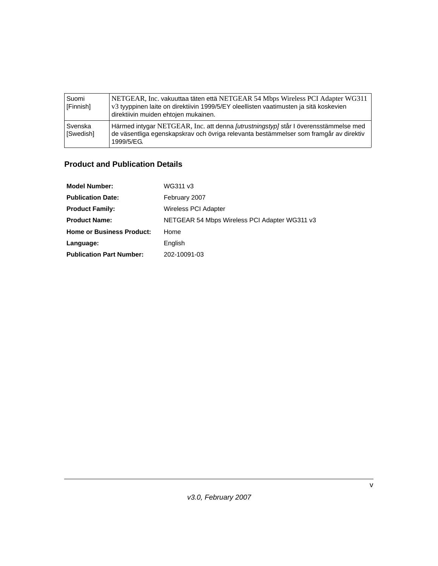| Suomi<br>[Finnish]   | NETGEAR, Inc. vakuuttaa täten että NETGEAR 54 Mbps Wireless PCI Adapter WG311<br>v3 tyyppinen laite on direktiivin 1999/5/EY oleellisten vaatimusten ja sitä koskevien<br>direktiivin muiden ehtojen mukainen. |
|----------------------|----------------------------------------------------------------------------------------------------------------------------------------------------------------------------------------------------------------|
| Svenska<br>[Swedish] | Härmed intygar NETGEAR, Inc. att denna [utrustningstyp] står I överensstämmelse med<br>de väsentliga egenskapskrav och övriga relevanta bestämmelser som framgår av direktiv<br>1999/5/EG.                     |

### **Product and Publication Details**

| <b>Model Number:</b>             | WG311 v3                                      |
|----------------------------------|-----------------------------------------------|
| <b>Publication Date:</b>         | February 2007                                 |
| <b>Product Family:</b>           | Wireless PCI Adapter                          |
| <b>Product Name:</b>             | NETGEAR 54 Mbps Wireless PCI Adapter WG311 v3 |
| <b>Home or Business Product:</b> | Home                                          |
| Language:                        | English                                       |
| <b>Publication Part Number:</b>  | 202-10091-03                                  |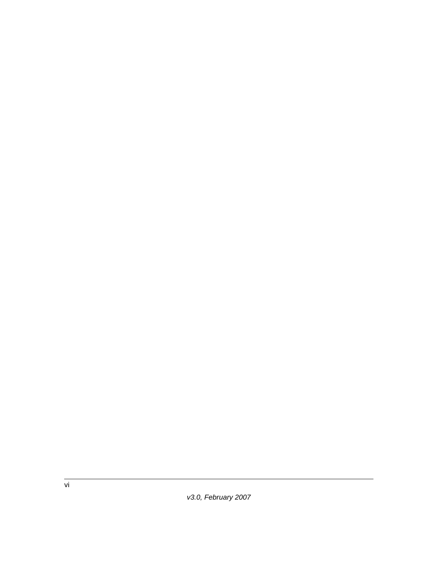### *v3.0, February 2007*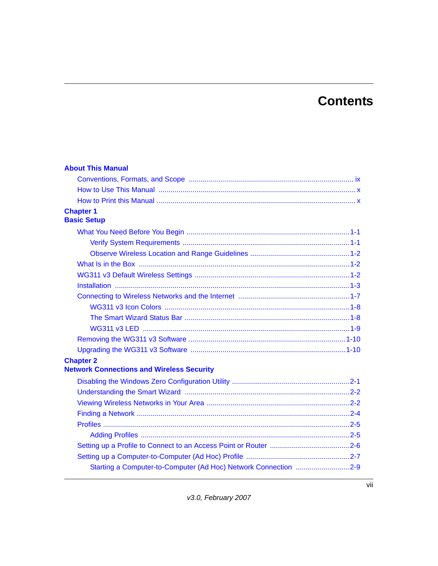## **Contents**

| <b>About This Manual</b>                                        |  |
|-----------------------------------------------------------------|--|
|                                                                 |  |
|                                                                 |  |
|                                                                 |  |
| <b>Chapter 1</b>                                                |  |
| <b>Basic Setup</b>                                              |  |
|                                                                 |  |
|                                                                 |  |
|                                                                 |  |
|                                                                 |  |
|                                                                 |  |
|                                                                 |  |
|                                                                 |  |
|                                                                 |  |
|                                                                 |  |
|                                                                 |  |
|                                                                 |  |
|                                                                 |  |
| <b>Chapter 2</b>                                                |  |
| <b>Network Connections and Wireless Security</b>                |  |
|                                                                 |  |
|                                                                 |  |
|                                                                 |  |
|                                                                 |  |
|                                                                 |  |
|                                                                 |  |
|                                                                 |  |
|                                                                 |  |
| Starting a Computer-to-Computer (Ad Hoc) Network Connection 2-9 |  |
|                                                                 |  |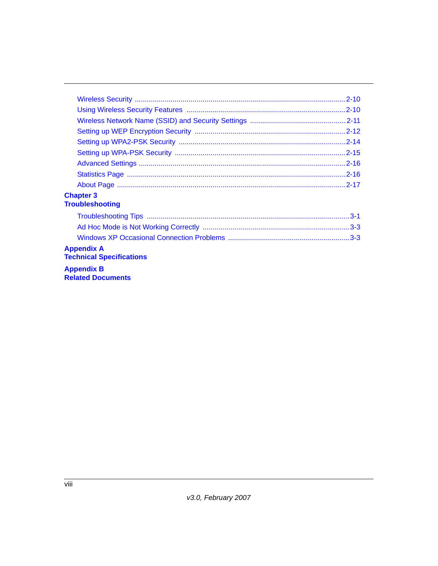| <b>Chapter 3</b><br><b>Troubleshooting</b> |  |
|--------------------------------------------|--|

| <b>Appendix A</b>               |  |
|---------------------------------|--|
| <b>Technical Specifications</b> |  |

**Appendix B<br>Related Documents**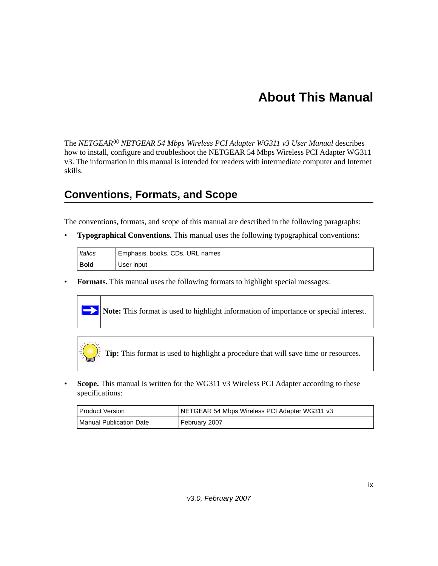## **About This Manual**

<span id="page-8-0"></span>The *NETGEAR® NETGEAR 54 Mbps Wireless PCI Adapter WG311 v3 User Manual* describes how to install, configure and troubleshoot the NETGEAR 54 Mbps Wireless PCI Adapter WG311 v3. The information in this manual is intended for readers with intermediate computer and Internet skills.

## <span id="page-8-1"></span>**Conventions, Formats, and Scope**

The conventions, formats, and scope of this manual are described in the following paragraphs:

• **Typographical Conventions.** This manual uses the following typographical conventions:

| Italics     | Emphasis, books, CDs, URL names |  |
|-------------|---------------------------------|--|
| <b>Bold</b> | User input                      |  |

• **Formats.** This manual uses the following formats to highlight special messages:





**Tip:** This format is used to highlight a procedure that will save time or resources.

• **Scope.** This manual is written for the WG311 v3 Wireless PCI Adapter according to these specifications:

| <b>Product Version</b>         | NETGEAR 54 Mbps Wireless PCI Adapter WG311 v3 |
|--------------------------------|-----------------------------------------------|
| <b>Manual Publication Date</b> | February 2007                                 |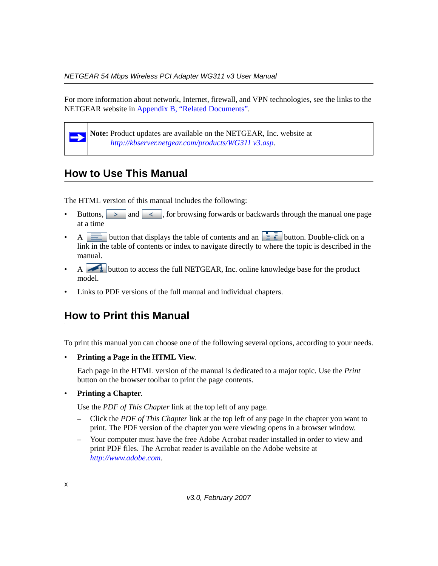For more information about network, Internet, firewall, and VPN technologies, see the links to the NETGEAR website in [Appendix B, "Related Documents".](#page-46-1)



**Note:** Product updates are available on the NETGEAR, Inc. website at *[http://kbserver.netgear.com/products/WG311 v3.asp](http://kbserver.netgear.com/products/WG311v3.asp)*.

## <span id="page-9-0"></span>**How to Use This Manual**

The HTML version of this manual includes the following:

- Buttons,  $>$  and  $\leq$  for browsing forwards or backwards through the manual one page at a time
- A button that displays the table of contents and an  $\frac{1}{\sqrt{2}}$  button. Double-click on a link in the table of contents or index to navigate directly to where the topic is described in the manual.
- A button to access the full NETGEAR, Inc. online knowledge base for the product model.
- Links to PDF versions of the full manual and individual chapters.

## <span id="page-9-1"></span>**How to Print this Manual**

To print this manual you can choose one of the following several options, according to your needs.

• **Printing a Page in the HTML View**.

Each page in the HTML version of the manual is dedicated to a major topic. Use the *Print* button on the browser toolbar to print the page contents.

• **Printing a Chapter**.

Use the *PDF of This Chapter* link at the top left of any page.

- Click the *PDF of This Chapter* link at the top left of any page in the chapter you want to print. The PDF version of the chapter you were viewing opens in a browser window.
- Your computer must have the free Adobe Acrobat reader installed in order to view and print PDF files. The Acrobat reader is available on the Adobe website at *<http://www.adobe.com>*.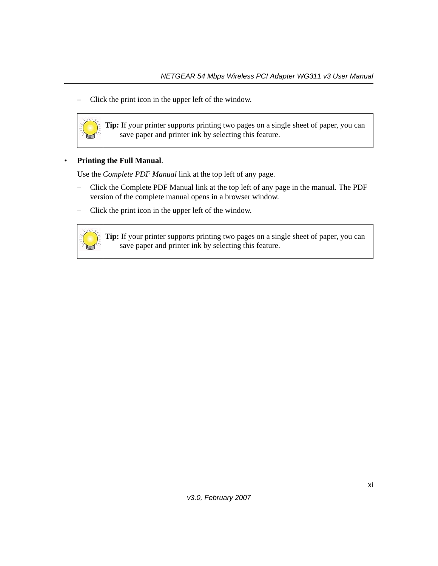– Click the print icon in the upper left of the window.



**Tip:** If your printer supports printing two pages on a single sheet of paper, you can save paper and printer ink by selecting this feature.

#### • **Printing the Full Manual**.

Use the *Complete PDF Manual* link at the top left of any page.

- Click the Complete PDF Manual link at the top left of any page in the manual. The PDF version of the complete manual opens in a browser window.
- Click the print icon in the upper left of the window.



**Tip:** If your printer supports printing two pages on a single sheet of paper, you can save paper and printer ink by selecting this feature.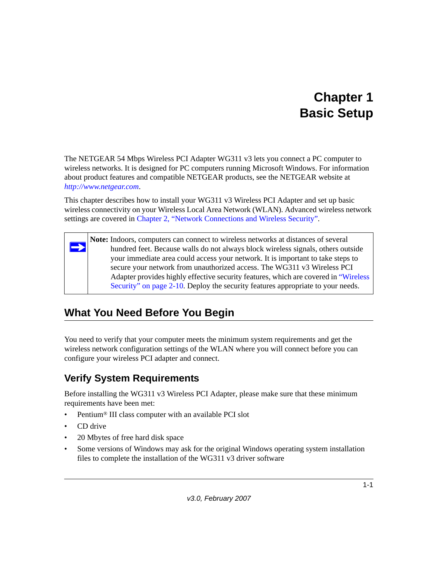## **Chapter 1 Basic Setup**

<span id="page-12-0"></span>The NETGEAR 54 Mbps Wireless PCI Adapter WG311 v3 lets you connect a PC computer to wireless networks. It is designed for PC computers running Microsoft Windows. For information about product features and compatible NETGEAR products, see the NETGEAR website at *<http://www.netgear.com>*.

This chapter describes how to install your WG311 v3 Wireless PCI Adapter and set up basic wireless connectivity on your Wireless Local Area Network (WLAN). Advanced wireless network settings are covered in [Chapter 2, "Network Connections and Wireless Security"](#page-22-2).

**Note:** Indoors, computers can connect to wireless networks at distances of several hundred feet. Because walls do not always block wireless signals, others outside your immediate area could access your network. It is important to take steps to secure your network from unauthorized access. The WG311 v3 Wireless PCI Adapter provides highly effective security features, which are covered in ["Wireless](#page-31-2)  [Security" on page 2-10](#page-31-2). Deploy the security features appropriate to your needs.

## <span id="page-12-1"></span>**What You Need Before You Begin**

You need to verify that your computer meets the minimum system requirements and get the wireless network configuration settings of the WLAN where you will connect before you can configure your wireless PCI adapter and connect.

## <span id="page-12-2"></span>**Verify System Requirements**

Before installing the WG311 v3 Wireless PCI Adapter, please make sure that these minimum requirements have been met:

- Pentium<sup>®</sup> III class computer with an available PCI slot
- CD drive
- 20 Mbytes of free hard disk space
- Some versions of Windows may ask for the original Windows operating system installation files to complete the installation of the WG311 v3 driver software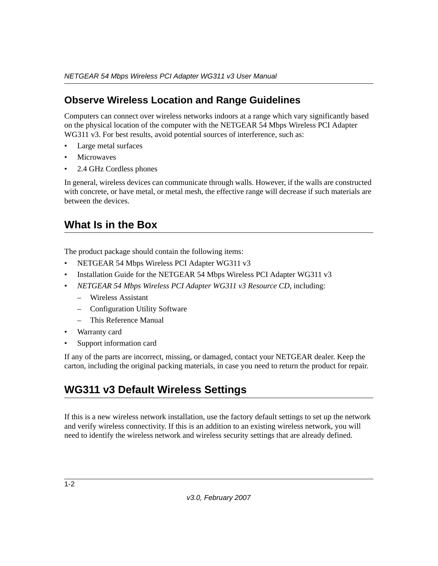## <span id="page-13-0"></span>**Observe Wireless Location and Range Guidelines**

Computers can connect over wireless networks indoors at a range which vary significantly based on the physical location of the computer with the NETGEAR 54 Mbps Wireless PCI Adapter WG311 v3. For best results, avoid potential sources of interference, such as:

- Large metal surfaces
- Microwaves
- 2.4 GHz Cordless phones

In general, wireless devices can communicate through walls. However, if the walls are constructed with concrete, or have metal, or metal mesh, the effective range will decrease if such materials are between the devices.

## <span id="page-13-1"></span>**What Is in the Box**

The product package should contain the following items:

- NETGEAR 54 Mbps Wireless PCI Adapter WG311 v3
- Installation Guide for the NETGEAR 54 Mbps Wireless PCI Adapter WG311 v3
- *NETGEAR 54 Mbps Wireless PCI Adapter WG311 v3 Resource CD*, including:
	- Wireless Assistant
	- Configuration Utility Software
	- This Reference Manual
- Warranty card
- Support information card

If any of the parts are incorrect, missing, or damaged, contact your NETGEAR dealer. Keep the carton, including the original packing materials, in case you need to return the product for repair.

## <span id="page-13-2"></span>**WG311 v3 Default Wireless Settings**

If this is a new wireless network installation, use the factory default settings to set up the network and verify wireless connectivity. If this is an addition to an existing wireless network, you will need to identify the wireless network and wireless security settings that are already defined.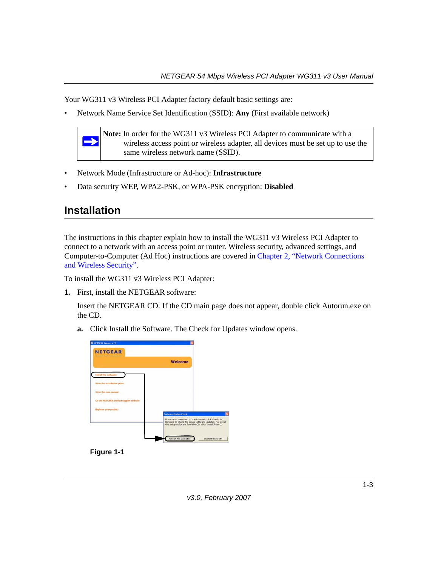Your WG311 v3 Wireless PCI Adapter factory default basic settings are:

• Network Name Service Set Identification (SSID): **Any** (First available network)

**Note:** In order for the WG311 v3 Wireless PCI Adapter to communicate with a wireless access point or wireless adapter, all devices must be set up to use the same wireless network name (SSID).

- Network Mode (Infrastructure or Ad-hoc): **Infrastructure**
- Data security WEP, WPA2-PSK, or WPA-PSK encryption: **Disabled**

### <span id="page-14-0"></span>**Installation**

 $\rightarrow$ 

The instructions in this chapter explain how to install the WG311 v3 Wireless PCI Adapter to connect to a network with an access point or router. Wireless security, advanced settings, and Computer-to-Computer (Ad Hoc) instructions are covered in [Chapter 2, "Network Connections](#page-22-2)  [and Wireless Security".](#page-22-2)

To install the WG311 v3 Wireless PCI Adapter:

**1.** First, install the NETGEAR software:

Insert the NETGEAR CD. If the CD main page does not appear, double click Autorun.exe on the CD.

**a.** Click Install the Software. The Check for Updates window opens.



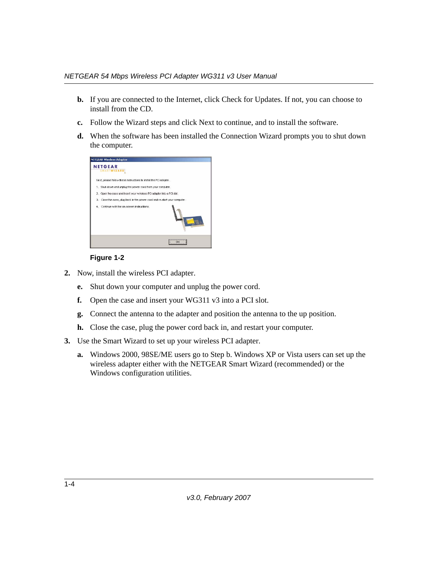- **b.** If you are connected to the Internet, click Check for Updates. If not, you can choose to install from the CD.
- **c.** Follow the Wizard steps and click Next to continue, and to install the software.
- **d.** When the software has been installed the Connection Wizard prompts you to shut down the computer.



**Figure 1-2**

- **2.** Now, install the wireless PCI adapter.
	- **e.** Shut down your computer and unplug the power cord.
	- **f.** Open the case and insert your WG311 v3 into a PCI slot.
	- **g.** Connect the antenna to the adapter and position the antenna to the up position.
	- **h.** Close the case, plug the power cord back in, and restart your computer.
- **3.** Use the Smart Wizard to set up your wireless PCI adapter.
	- **a.** Windows 2000, 98SE/ME users go to Step b. Windows XP or Vista users can set up the wireless adapter either with the NETGEAR Smart Wizard (recommended) or the Windows configuration utilities.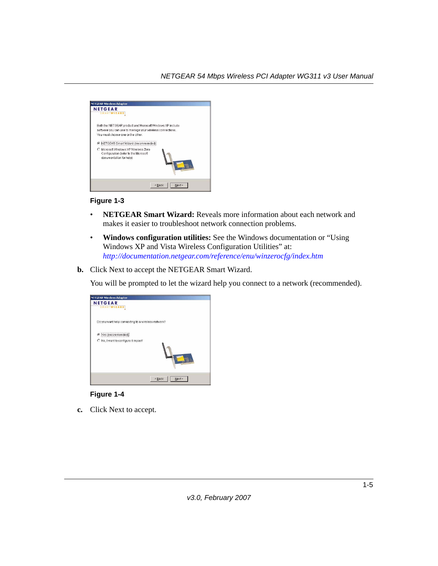

### **Figure 1-3**

- **NETGEAR Smart Wizard:** Reveals more information about each network and makes it easier to troubleshoot network connection problems.
- **Windows configuration utilities:** See the Windows documentation or "Using Windows XP and Vista Wireless Configuration Utilities" at: *<http://documentation.netgear.com/reference/enu/winzerocfg/index.htm>*
- **b.** Click Next to accept the NETGEAR Smart Wizard.

You will be prompted to let the wizard help you connect to a network (recommended).



### **Figure 1-4**

**c.** Click Next to accept.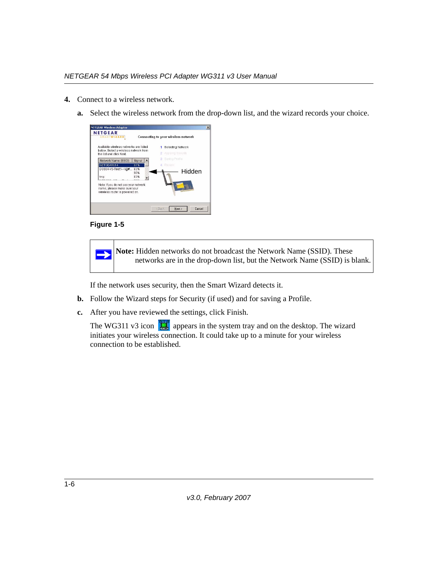- **4.** Connect to a wireless network.
	- **a.** Select the wireless network from the drop-down list, and the wizard records your choice.



### **Figure 1-5**



**Note:** Hidden networks do not broadcast the Network Name (SSID). These networks are in the drop-down list, but the Network Name (SSID) is blank.

If the network uses security, then the Smart Wizard detects it.

- **b.** Follow the Wizard steps for Security (if used) and for saving a Profile.
- **c.** After you have reviewed the settings, click Finish.

The WG311 v3 icon  $\Box$  appears in the system tray and on the desktop. The wizard initiates your wireless connection. It could take up to a minute for your wireless connection to be established.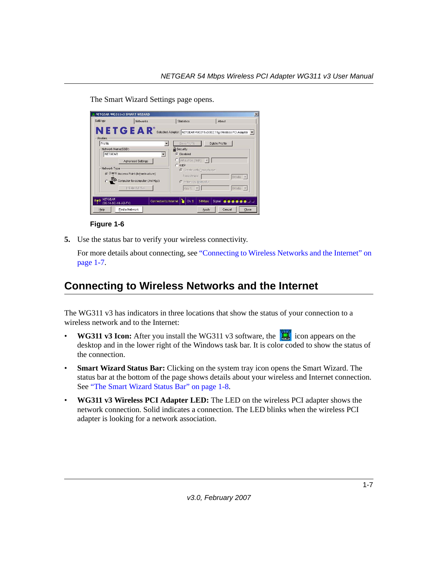The Smart Wizard Settings page opens.

| Settings                  | Networks                                                                                     |                       | <b>Statistics</b>         |                  | About |           |
|---------------------------|----------------------------------------------------------------------------------------------|-----------------------|---------------------------|------------------|-------|-----------|
|                           |                                                                                              |                       |                           |                  |       |           |
|                           | NETGEAR <sup>®</sup> Selected Adapter: NETGEAR WG311v3 802.11g Wireless PCI Adapter <b>v</b> |                       |                           |                  |       |           |
| Profiles                  |                                                                                              |                       |                           |                  |       |           |
| Profile                   |                                                                                              |                       | Save Profile              | Delete Profile   |       |           |
| Network Name(SSID)        |                                                                                              |                       | <b>D</b> Security         |                  |       |           |
| NETGEAR                   |                                                                                              |                       | $\epsilon$ Disabled       |                  |       |           |
|                           | <b>Advanced Settings</b>                                                                     |                       | WPA-PSK [TKIP]            |                  |       |           |
|                           |                                                                                              |                       | C WEP                     |                  |       |           |
| Network Type              |                                                                                              |                       | C Create with Passphrase; |                  |       |           |
|                           | (C (((P)) Access Point (Infrastructure)                                                      |                       | Passphrase:               |                  |       | 64 bits - |
|                           | Computer-to-computer (Ad Hoc)                                                                |                       | C Enter Key Manually:     |                  |       |           |
|                           | Initiate Ad Hoc                                                                              |                       | Key 1: -                  |                  |       | 64 bits - |
|                           |                                                                                              |                       |                           |                  |       |           |
| NETGEAR<br>$(0 - \Omega)$ |                                                                                              | Connected to Internet | Ch.6                      | 54Mbps<br>Signal |       |           |
| (00-14-6C-44-AD-F4)       |                                                                                              |                       |                           |                  |       |           |

**Figure 1-6**

**5.** Use the status bar to verify your wireless connectivity.

For more details about connecting, see ["Connecting to Wireless Networks and the Internet" on](#page-18-0)  [page 1-7](#page-18-0).

## <span id="page-18-1"></span><span id="page-18-0"></span>**Connecting to Wireless Networks and the Internet**

The WG311 v3 has indicators in three locations that show the status of your connection to a wireless network and to the Internet:

- **WG311 v3 Icon:** After you install the WG311 v3 software, the **interest in the interval** desktop and in the lower right of the Windows task bar. It is color coded to show the status of the connection.
- **Smart Wizard Status Bar:** Clicking on the system tray icon opens the Smart Wizard. The status bar at the bottom of the page shows details about your wireless and Internet connection. See ["The Smart Wizard Status Bar" on page 1-8.](#page-19-1)
- **WG311 v3 Wireless PCI Adapter LED:** The LED on the wireless PCI adapter shows the network connection. Solid indicates a connection. The LED blinks when the wireless PCI adapter is looking for a network association.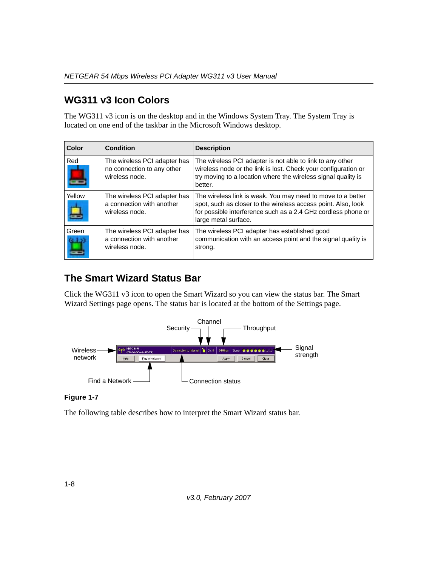## <span id="page-19-0"></span>**WG311 v3 Icon Colors**

The WG311 v3 icon is on the desktop and in the Windows System Tray. The System Tray is located on one end of the taskbar in the Microsoft Windows desktop.

| Color         | <b>Condition</b>                                                             | <b>Description</b>                                                                                                                                                                                                    |
|---------------|------------------------------------------------------------------------------|-----------------------------------------------------------------------------------------------------------------------------------------------------------------------------------------------------------------------|
| Red           | The wireless PCI adapter has<br>no connection to any other<br>wireless node. | The wireless PCI adapter is not able to link to any other<br>wireless node or the link is lost. Check your configuration or<br>try moving to a location where the wireless signal quality is<br>better.               |
| Yellow<br>عدا | The wireless PCI adapter has<br>a connection with another<br>wireless node.  | The wireless link is weak. You may need to move to a better<br>spot, such as closer to the wireless access point. Also, look<br>for possible interference such as a 2.4 GHz cordless phone or<br>large metal surface. |
| Green<br>化生效  | The wireless PCI adapter has<br>a connection with another<br>wireless node.  | The wireless PCI adapter has established good<br>communication with an access point and the signal quality is<br>strong.                                                                                              |

### <span id="page-19-2"></span><span id="page-19-1"></span>**The Smart Wizard Status Bar**

Click the WG311 v3 icon to open the Smart Wizard so you can view the status bar. The Smart Wizard Settings page opens. The status bar is located at the bottom of the Settings page.



### **Figure 1-7**

The following table describes how to interpret the Smart Wizard status bar.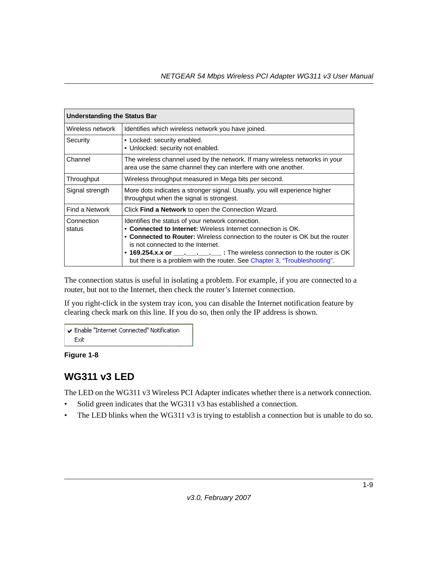| <b>Understanding the Status Bar</b> |                                                                                                                                                                                                                                                                                                                                                                                              |  |  |
|-------------------------------------|----------------------------------------------------------------------------------------------------------------------------------------------------------------------------------------------------------------------------------------------------------------------------------------------------------------------------------------------------------------------------------------------|--|--|
| Wireless network                    | Identifies which wireless network you have joined.                                                                                                                                                                                                                                                                                                                                           |  |  |
| Security                            | • Locked: security enabled.<br>· Unlocked: security not enabled.                                                                                                                                                                                                                                                                                                                             |  |  |
| Channel                             | The wireless channel used by the network. If many wireless networks in your<br>area use the same channel they can interfere with one another.                                                                                                                                                                                                                                                |  |  |
| Throughput                          | Wireless throughput measured in Mega bits per second.                                                                                                                                                                                                                                                                                                                                        |  |  |
| Signal strength                     | More dots indicates a stronger signal. Usually, you will experience higher<br>throughput when the signal is strongest.                                                                                                                                                                                                                                                                       |  |  |
| Find a Network                      | Click Find a Network to open the Connection Wizard.                                                                                                                                                                                                                                                                                                                                          |  |  |
| Connection<br>status                | Identifies the status of your network connection.<br>• Connected to Internet: Wireless Internet connection is OK.<br>• Connected to Router: Wireless connection to the router is OK but the router<br>is not connected to the Internet.<br>• 169.254.x.x or contact The wireless connection to the router is OK<br>but there is a problem with the router. See Chapter 3, "Troubleshooting". |  |  |

The connection status is useful in isolating a problem. For example, if you are connected to a router, but not to the Internet, then check the router's Internet connection.

If you right-click in the system tray icon, you can disable the Internet notification feature by clearing check mark on this line. If you do so, then only the IP address is shown.

```
Enable "Internet Connected" Notification
  Exit
```
### **Figure 1-8**

## <span id="page-20-0"></span>**WG311 v3 LED**

The LED on the WG311 v3 Wireless PCI Adapter indicates whether there is a network connection.

- Solid green indicates that the WG311 v3 has established a connection.
- The LED blinks when the WG311 v3 is trying to establish a connection but is unable to do so.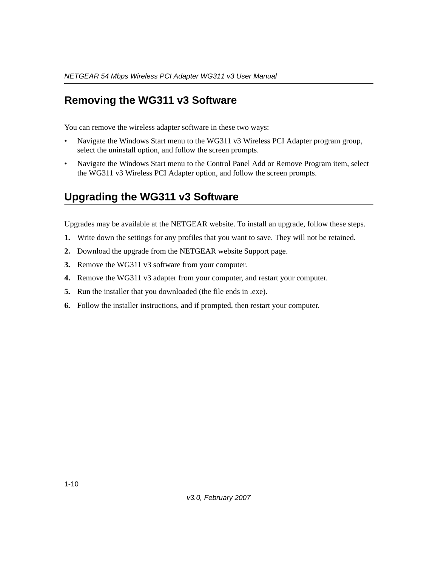## <span id="page-21-2"></span><span id="page-21-0"></span>**Removing the WG311 v3 Software**

You can remove the wireless adapter software in these two ways:

- Navigate the Windows Start menu to the WG311 v3 Wireless PCI Adapter program group, select the uninstall option, and follow the screen prompts.
- Navigate the Windows Start menu to the Control Panel Add or Remove Program item, select the WG311 v3 Wireless PCI Adapter option, and follow the screen prompts.

## <span id="page-21-3"></span><span id="page-21-1"></span>**Upgrading the WG311 v3 Software**

Upgrades may be available at the NETGEAR website. To install an upgrade, follow these steps.

- **1.** Write down the settings for any profiles that you want to save. They will not be retained.
- **2.** Download the upgrade from the NETGEAR website Support page.
- **3.** Remove the WG311 v3 software from your computer.
- **4.** Remove the WG311 v3 adapter from your computer, and restart your computer.
- **5.** Run the installer that you downloaded (the file ends in .exe).
- **6.** Follow the installer instructions, and if prompted, then restart your computer.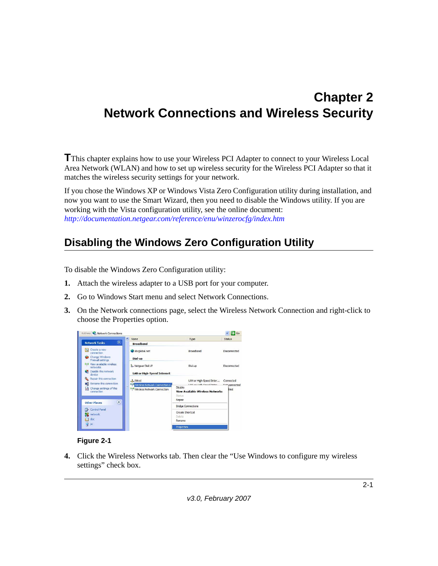## <span id="page-22-2"></span><span id="page-22-0"></span>**Chapter 2 Network Connections and Wireless Security**

**T**This chapter explains how to use your Wireless PCI Adapter to connect to your Wireless Local Area Network (WLAN) and how to set up wireless security for the Wireless PCI Adapter so that it matches the wireless security settings for your network.

If you chose the Windows XP or Windows Vista Zero Configuration utility during installation, and now you want to use the Smart Wizard, then you need to disable the Windows utility. If you are working with the Vista configuration utility, see the online document: *<http://documentation.netgear.com/reference/enu/winzerocfg/index.htm>*

## <span id="page-22-1"></span>**Disabling the Windows Zero Configuration Utility**

To disable the Windows Zero Configuration utility:

- **1.** Attach the wireless adapter to a USB port for your computer.
- **2.** Go to Windows Start menu and select Network Connections.
- **3.** On the Network connections page, select the Wireless Network Connection and right-click to choose the Properties option.



**Figure 2-1**

**4.** Click the Wireless Networks tab. Then clear the "Use Windows to configure my wireless settings" check box.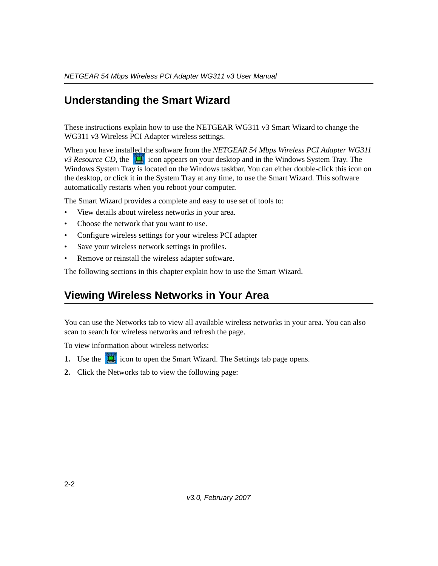## <span id="page-23-0"></span>**Understanding the Smart Wizard**

These instructions explain how to use the NETGEAR WG311 v3 Smart Wizard to change the WG311 v3 Wireless PCI Adapter wireless settings.

When you have installed the software from the *NETGEAR 54 Mbps Wireless PCI Adapter WG311*   $v3$  Resource CD, the **interest in appears on your desktop and in the Windows System Tray.** The Windows System Tray is located on the Windows taskbar. You can either double-click this icon on the desktop, or click it in the System Tray at any time, to use the Smart Wizard. This software automatically restarts when you reboot your computer.

The Smart Wizard provides a complete and easy to use set of tools to:

- View details about wireless networks in your area.
- Choose the network that you want to use.
- Configure wireless settings for your wireless PCI adapter
- Save your wireless network settings in profiles.
- Remove or reinstall the wireless adapter software.

The following sections in this chapter explain how to use the Smart Wizard.

## <span id="page-23-1"></span>**Viewing Wireless Networks in Your Area**

You can use the Networks tab to view all available wireless networks in your area. You can also scan to search for wireless networks and refresh the page.

To view information about wireless networks:

- **1.** Use the **interest in the Smart Wizard.** The Settings tab page opens.
- **2.** Click the Networks tab to view the following page: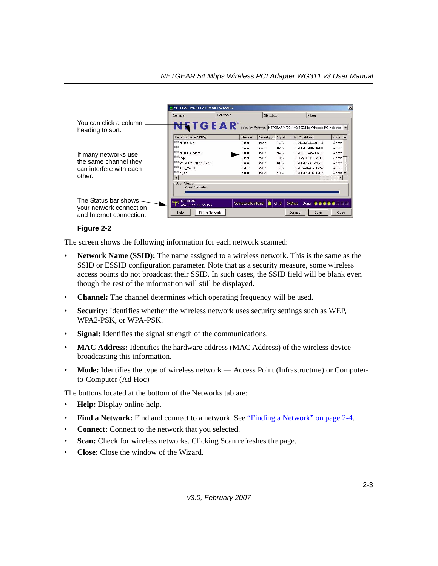

### **Figure 2-2**

The screen shows the following information for each network scanned:

- **Network Name (SSID):** The name assigned to a wireless network. This is the same as the SSID or ESSID configuration parameter. Note that as a security measure, some wireless access points do not broadcast their SSID. In such cases, the SSID field will be blank even though the rest of the information will still be displayed.
- **Channel:** The channel determines which operating frequency will be used.
- **Security:** Identifies whether the wireless network uses security settings such as WEP, WPA2-PSK, or WPA-PSK.
- **Signal:** Identifies the signal strength of the communications.
- **MAC Address:** Identifies the hardware address (MAC Address) of the wireless device broadcasting this information.
- **Mode:** Identifies the type of wireless network Access Point (Infrastructure) or Computerto-Computer (Ad Hoc)

The buttons located at the bottom of the Networks tab are:

- **Help:** Display online help.
- **Find a Network:** Find and connect to a network. See ["Finding a Network" on page 2-4](#page-25-0).
- **Connect:** Connect to the network that you selected.
- **Scan:** Check for wireless networks. Clicking Scan refreshes the page.
- **Close:** Close the window of the Wizard.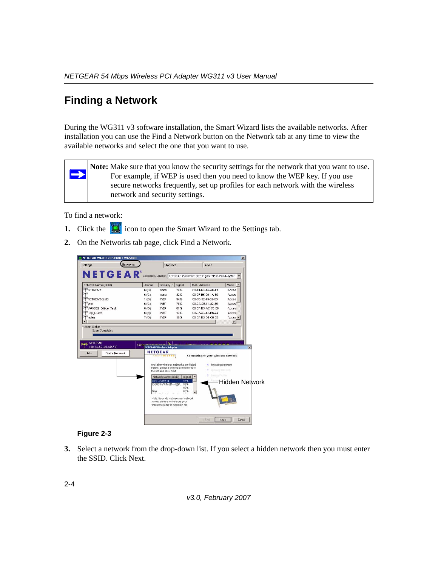## <span id="page-25-0"></span>**Finding a Network**

During the WG311 v3 software installation, the Smart Wizard lists the available networks. After installation you can use the Find a Network button on the Network tab at any time to view the available networks and select the one that you want to use.

**Note:** Make sure that you know the security settings for the network that you want to use. For example, if WEP is used then you need to know the WEP key. If you use secure networks frequently, set up profiles for each network with the wireless network and security settings.

To find a network:

- **1.** Click the **interpretate is contrary Click** the Smart Wizard to the Settings tab.
- **2.** On the Networks tab page, click Find a Network.

| Network Name (SSID)                                                                                      | Channel                       | Security                             | Signal | <b>MAC Address</b>                  | Mode                  |
|----------------------------------------------------------------------------------------------------------|-------------------------------|--------------------------------------|--------|-------------------------------------|-----------------------|
| METGEAR                                                                                                  | $6($ G)                       | none                                 | 74%    | 00-14-6C-44-AD-F4                   | Acces                 |
| (0.400)                                                                                                  | $6($ G)                       | none                                 | 82%    | 00-0F-B5-00-1A-E0                   | Acces                 |
| <sup>(htm</sup> NETGEAR-test3                                                                            | 1(G)                          | WEP                                  | 94%    | 00-C0-02-45-39-63                   | Acces                 |
| <sup>(topo)</sup> tmp                                                                                    | $6($ G)                       | WEP                                  | 78%    | 00-0A-0E-11-22-35                   | Acces                 |
| <sup>(mm</sup> VVPN802_Office_Test                                                                       | $6($ G)                       | WEP                                  | 61%    | 00-0F-B5-AC-CE-E6                   | Acces                 |
| <sup>(mpm)</sup> Top_Guest                                                                               | 6(B)                          | WEP                                  | 17%    | 00-07-40-A1-B6-74                   | Acces                 |
| <sup>(frem</sup> nglan                                                                                   | 7(9)                          | WEP                                  | 10%    | 00-0F-B5-D4-C6-82                   | Acces .               |
|                                                                                                          |                               |                                      |        |                                     | $\blacktriangleright$ |
| и<br>Scan Status<br>Scan Completed<br>NETGEAR<br>$(\mathbb{C}\bullet \mathbb{D})$<br>(00-14-6C-44-AD-F4) | Connected to Internet 1- On a | <b>NETGEAR Wireless Adapter</b>      |        | <b>CARRIAN</b>                      | $\times$              |
| Find a Network<br>Help                                                                                   |                               | <b>NETGEAR</b><br><b>SMARTWIZARD</b> |        | Connecting to your wireless network |                       |

### **Figure 2-3**

**3.** Select a network from the drop-down list. If you select a hidden network then you must enter the SSID. Click Next.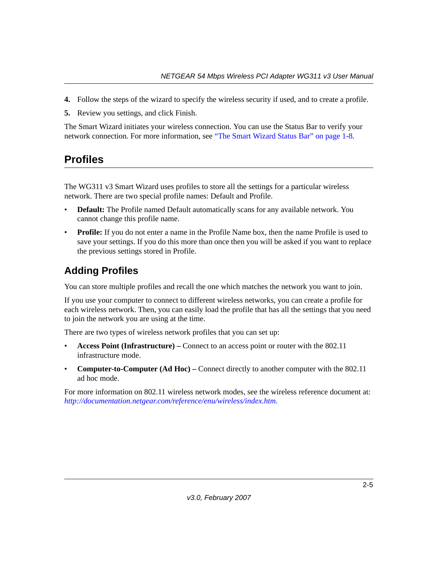- **4.** Follow the steps of the wizard to specify the wireless security if used, and to create a profile.
- **5.** Review you settings, and click Finish.

The Smart Wizard initiates your wireless connection. You can use the Status Bar to verify your network connection. For more information, see ["The Smart Wizard Status Bar" on page 1-8](#page-19-2).

## <span id="page-26-0"></span>**Profiles**

The WG311 v3 Smart Wizard uses profiles to store all the settings for a particular wireless network. There are two special profile names: Default and Profile.

- **Default:** The Profile named Default automatically scans for any available network. You cannot change this profile name.
- **Profile:** If you do not enter a name in the Profile Name box, then the name Profile is used to save your settings. If you do this more than once then you will be asked if you want to replace the previous settings stored in Profile.

## <span id="page-26-1"></span>**Adding Profiles**

You can store multiple profiles and recall the one which matches the network you want to join.

If you use your computer to connect to different wireless networks, you can create a profile for each wireless network. Then, you can easily load the profile that has all the settings that you need to join the network you are using at the time.

There are two types of wireless network profiles that you can set up:

- **Access Point (Infrastructure)** Connect to an access point or router with the 802.11 infrastructure mode.
- **Computer-to-Computer (Ad Hoc)** Connect directly to another computer with the 802.11 ad hoc mode.

For more information on 802.11 wireless network modes, see the wireless reference document at: *[http://documentation.netgear.com/reference/enu/wireless/index.htm.](http://documentation.netgear.com/reference/enu/wireless/index.htm)*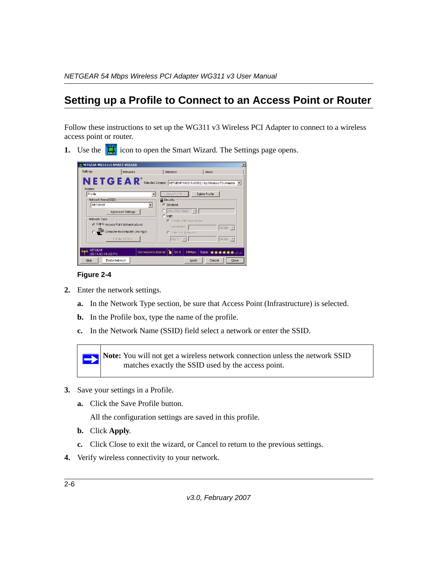## <span id="page-27-0"></span>**Setting up a Profile to Connect to an Access Point or Router**

Follow these instructions to set up the WG311 v3 Wireless PCI Adapter to connect to a wireless access point or router.

**1.** Use the **interest is a contract open** the Smart Wizard. The Settings page opens.

| Settings                                    | Networks                                                                               |                                 | <b>Statistics</b>                        |                           | About          |           |
|---------------------------------------------|----------------------------------------------------------------------------------------|---------------------------------|------------------------------------------|---------------------------|----------------|-----------|
|                                             | NETGEAR <sup>®</sup> Selected Adapter: NETGEAR WO311v3 802.11g Wireless PCI Adapter: V |                                 |                                          |                           |                |           |
| Profiles                                    |                                                                                        |                                 |                                          |                           |                |           |
| Profile                                     |                                                                                        |                                 | Save Profile                             |                           | Delete Profile |           |
| Network Name(SSID)                          |                                                                                        |                                 | Security                                 |                           |                |           |
| <b>NETGEAR</b>                              |                                                                                        | G                               | Disabled                                 |                           |                |           |
|                                             | <b>Advanced Settings</b>                                                               |                                 | $C$ WPA-PSK [TKIP] $\blacktriangleright$ |                           |                |           |
|                                             |                                                                                        |                                 | C WEP                                    |                           |                |           |
| Network Type                                |                                                                                        |                                 |                                          | C Create with Passphrase: |                |           |
|                                             |                                                                                        |                                 | Passphrase:                              |                           |                | 64 bits - |
|                                             | Computer-to-computer (Ad Hoc)                                                          |                                 | C Enter Key Manually:                    |                           |                |           |
|                                             | Initiate Ad Hoc                                                                        |                                 | Key t: -                                 |                           |                | 64 bits - |
|                                             |                                                                                        |                                 |                                          |                           |                |           |
|                                             |                                                                                        |                                 |                                          |                           |                |           |
| NETGEAR<br>$(0 - i)$<br>(00-14-6C-44-AD-F4) |                                                                                        | Connected to Internet     Ch: 6 |                                          | 54Mbps                    | Signal         |           |
| Help                                        | Find a Network                                                                         |                                 |                                          | Apply                     | Cancel         | Close     |

#### **Figure 2-4**

- **2.** Enter the network settings.
	- **a.** In the Network Type section, be sure that Access Point (Infrastructure) is selected.
	- **b.** In the Profile box, type the name of the profile.
	- **c.** In the Network Name (SSID) field select a network or enter the SSID.



- **3.** Save your settings in a Profile.
	- **a.** Click the Save Profile button.

All the configuration settings are saved in this profile.

- **b.** Click **Apply**.
- **c.** Click Close to exit the wizard, or Cancel to return to the previous settings.
- **4.** Verify wireless connectivity to your network.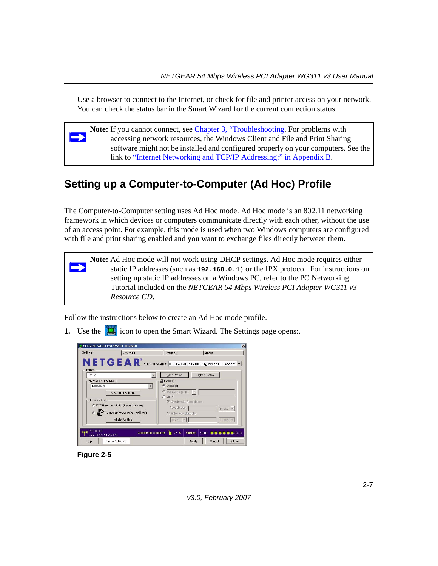Use a browser to connect to the Internet, or check for file and printer access on your network. You can check the status bar in the Smart Wizard for the current connection status.

**Note:** If you cannot connect, see [Chapter 3, "Troubleshooting.](#page-40-2) For problems with accessing network resources, the Windows Client and File and Print Sharing software might not be installed and configured properly on your computers. See the link to ["Internet Networking and TCP/IP Addressing:" in Appendix B.](#page-46-2)

## <span id="page-28-0"></span>**Setting up a Computer-to-Computer (Ad Hoc) Profile**

The Computer-to-Computer setting uses Ad Hoc mode. Ad Hoc mode is an 802.11 networking framework in which devices or computers communicate directly with each other, without the use of an access point. For example, this mode is used when two Windows computers are configured with file and print sharing enabled and you want to exchange files directly between them.

**Note:** Ad Hoc mode will not work using DHCP settings. Ad Hoc mode requires either static IP addresses (such as **192.168.0.1**) or the IPX protocol. For instructions on setting up static IP addresses on a Windows PC, refer to the PC Networking Tutorial included on the *NETGEAR 54 Mbps Wireless PCI Adapter WG311 v3 Resource CD*.

Follow the instructions below to create an Ad Hoc mode profile.

**1.** Use the **interesperse the Smart Wizard.** The Settings page opens:.



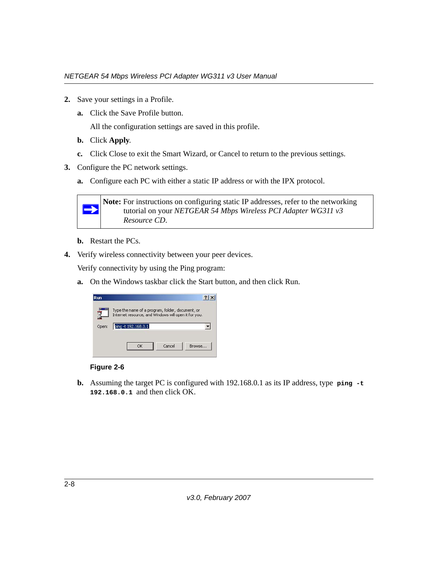- **2.** Save your settings in a Profile.
	- **a.** Click the Save Profile button.

All the configuration settings are saved in this profile.

- **b.** Click **Apply**.
- **c.** Click Close to exit the Smart Wizard, or Cancel to return to the previous settings.
- **3.** Configure the PC network settings.
	- **a.** Configure each PC with either a static IP address or with the IPX protocol.



**Note:** For instructions on configuring static IP addresses, refer to the networking tutorial on your *NETGEAR 54 Mbps Wireless PCI Adapter WG311 v3 Resource CD*.

- **b.** Restart the PCs.
- **4.** Verify wireless connectivity between your peer devices.

Verify connectivity by using the Ping program:

**a.** On the Windows taskbar click the Start button, and then click Run.



**Figure 2-6**

**b.** Assuming the target PC is configured with 192.168.0.1 as its IP address, type **ping -t 192.168.0.1** and then click OK.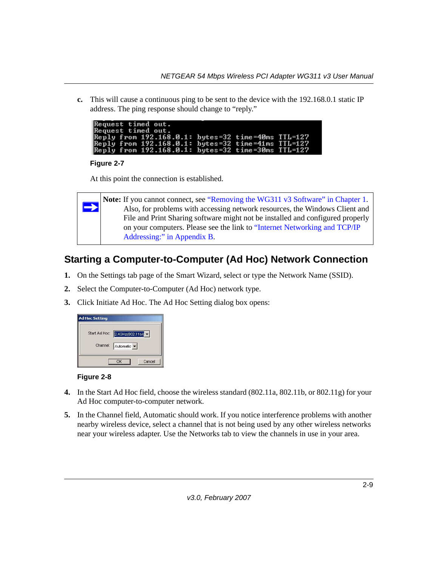**c.** This will cause a continuous ping to be sent to the device with the 192.168.0.1 static IP address. The ping response should change to "reply."

```
Request timed out.
Request timed out.
Reply from 192.168.0.1: bytes=32 time=40ms TTL=127<br>Reply from 192.168.0.1: bytes=32 time=41ms TTL=127<br>Reply from 192.168.0.1: bytes=32 time=30ms TTL=127
```
### **Figure 2-7**

At this point the connection is established.



### <span id="page-30-0"></span>**Starting a Computer-to-Computer (Ad Hoc) Network Connection**

- **1.** On the Settings tab page of the Smart Wizard, select or type the Network Name (SSID).
- **2.** Select the Computer-to-Computer (Ad Hoc) network type.
- **3.** Click Initiate Ad Hoc. The Ad Hoc Setting dialog box opens:



### **Figure 2-8**

- **4.** In the Start Ad Hoc field, choose the wireless standard (802.11a, 802.11b, or 802.11g) for your Ad Hoc computer-to-computer network.
- **5.** In the Channel field, Automatic should work. If you notice interference problems with another nearby wireless device, select a channel that is not being used by any other wireless networks near your wireless adapter. Use the Networks tab to view the channels in use in your area.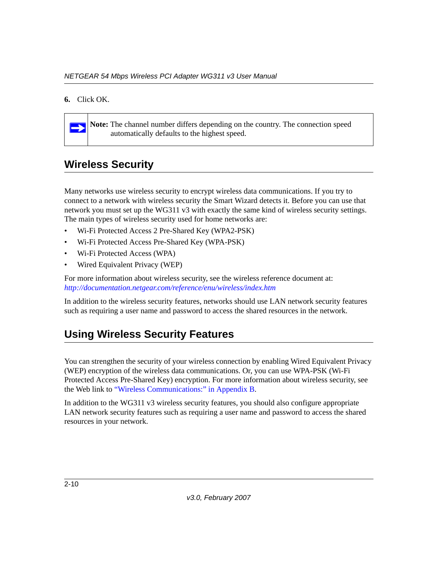**6.** Click OK.

**Note:** The channel number differs depending on the country. The connection speed automatically defaults to the highest speed.

### <span id="page-31-2"></span><span id="page-31-0"></span>**Wireless Security**

Many networks use wireless security to encrypt wireless data communications. If you try to connect to a network with wireless security the Smart Wizard detects it. Before you can use that network you must set up the WG311 v3 with exactly the same kind of wireless security settings. The main types of wireless security used for home networks are:

- Wi-Fi Protected Access 2 Pre-Shared Key (WPA2-PSK)
- Wi-Fi Protected Access Pre-Shared Key (WPA-PSK)
- Wi-Fi Protected Access (WPA)
- Wired Equivalent Privacy (WEP)

For more information about wireless security, see the wireless reference document at: *[http://documentation.netgear.com/reference/enu/wireless/index.htm](http://documentation.netgear.com/reference/enu/wireless/index.htm )* 

In addition to the wireless security features, networks should use LAN network security features such as requiring a user name and password to access the shared resources in the network.

## <span id="page-31-1"></span>**Using Wireless Security Features**

You can strengthen the security of your wireless connection by enabling Wired Equivalent Privacy (WEP) encryption of the wireless data communications. Or, you can use WPA-PSK (Wi-Fi Protected Access Pre-Shared Key) encryption. For more information about wireless security, see the Web link to ["Wireless Communications:" in Appendix B.](#page-46-3)

In addition to the WG311 v3 wireless security features, you should also configure appropriate LAN network security features such as requiring a user name and password to access the shared resources in your network.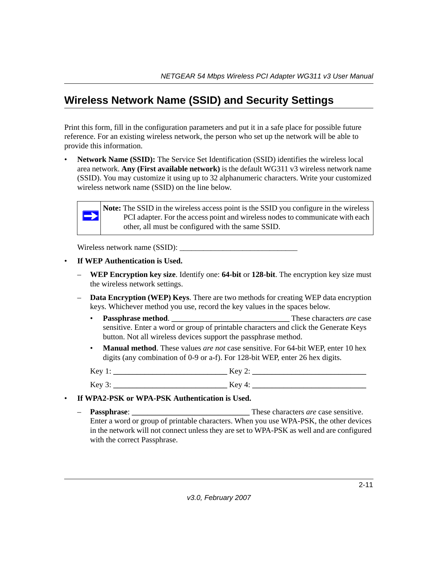## <span id="page-32-0"></span>**Wireless Network Name (SSID) and Security Settings**

Print this form, fill in the configuration parameters and put it in a safe place for possible future reference. For an existing wireless network, the person who set up the network will be able to provide this information.

• **Network Name (SSID):** The Service Set Identification (SSID) identifies the wireless local area network. **Any (First available network)** is the default WG311 v3 wireless network name (SSID). You may customize it using up to 32 alphanumeric characters. Write your customized wireless network name (SSID) on the line below.



**Note:** The SSID in the wireless access point is the SSID you configure in the wireless PCI adapter. For the access point and wireless nodes to communicate with each other, all must be configured with the same SSID.

Wireless network name (SSID):

- **If WEP Authentication is Used.**
	- **WEP Encryption key size**. Identify one: **64-bit** or **128-bit**. The encryption key size must the wireless network settings.
	- **Data Encryption (WEP) Keys**. There are two methods for creating WEP data encryption keys. Whichever method you use, record the key values in the spaces below.
		- **Passphrase method**. \_\_\_\_\_\_\_\_\_\_\_\_\_\_\_\_\_\_\_\_\_\_\_\_\_\_\_\_\_\_ These characters *are* case sensitive. Enter a word or group of printable characters and click the Generate Keys button. Not all wireless devices support the passphrase method.
		- **Manual method**. These values *are not* case sensitive. For 64-bit WEP, enter 10 hex digits (any combination of 0-9 or a-f). For 128-bit WEP, enter 26 hex digits.

Key 1: \_\_\_\_\_\_\_\_\_\_\_\_\_\_\_\_\_\_\_\_\_\_\_\_\_\_\_\_\_ Key 2: \_\_\_\_\_\_\_\_\_\_\_\_\_\_\_\_\_\_\_\_\_\_\_\_\_\_\_\_\_ Key 3: \_\_\_\_\_\_\_\_\_\_\_\_\_\_\_\_\_\_\_\_\_\_\_\_\_\_\_\_\_ Key 4: \_\_\_\_\_\_\_\_\_\_\_\_\_\_\_\_\_\_\_\_\_\_\_\_\_\_\_\_\_

### If WPA2-PSK or WPA-PSK Authentication is Used.

– **Passphrase**: \_\_\_\_\_\_\_\_\_\_\_\_\_\_\_\_\_\_\_\_\_\_\_\_\_\_\_\_\_\_ These characters *are* case sensitive. Enter a word or group of printable characters. When you use WPA-PSK, the other devices in the network will not connect unless they are set to WPA-PSK as well and are configured with the correct Passphrase.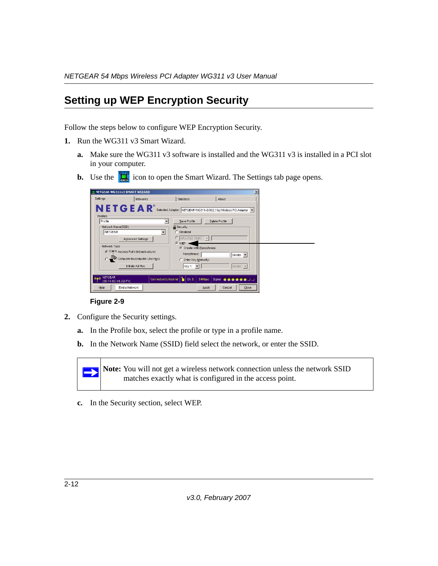## <span id="page-33-0"></span>**Setting up WEP Encryption Security**

Follow the steps below to configure WEP Encryption Security.

- **1.** Run the WG311 v3 Smart Wizard.
	- **a.** Make sure the WG311 v3 software is installed and the WG311 v3 is installed in a PCI slot in your computer.
	- **b.** Use the **interpretate is controlled to open** the Smart Wizard. The Settings tab page opens.

| Settings                            | Networks                              | <b>Statistics</b>                                                                     | About                           |  |
|-------------------------------------|---------------------------------------|---------------------------------------------------------------------------------------|---------------------------------|--|
|                                     |                                       | NETGEAR <sup>®</sup> Selected Adapter: NETGEAR WG311v3 802.11g Wireless PCI Adapter Y |                                 |  |
| Profiles                            |                                       |                                                                                       |                                 |  |
| Profile                             |                                       | Save Profile                                                                          | Delete Profile                  |  |
| Network Name(SSID)                  |                                       | <b>Q</b> Security                                                                     |                                 |  |
| NETGEAR                             |                                       | C Disabled                                                                            |                                 |  |
|                                     | <b>Advanced Settings</b>              | $\bigcirc$ WPA-PSK [TKIP] $\blacktriangledown$<br>G WEP                               |                                 |  |
| Network Type                        |                                       | C Create with Passphrase:                                                             |                                 |  |
|                                     | (C((P)) Access Point (Infrastructure) | Passphrase:                                                                           |                                 |  |
|                                     | Computer-to-computer (Ad Hoc)         | C Enter Key Manually:                                                                 | $64 \text{ bits}$ $\rightarrow$ |  |
|                                     |                                       |                                                                                       |                                 |  |
|                                     | Initiate Ad Hoc                       | Key 1: <b>-</b>                                                                       | 64 bits -                       |  |
|                                     |                                       |                                                                                       |                                 |  |
| (@w) NETGEAR<br>(00-14-6C-44-AD-F4) |                                       | ъ<br>Ch 6<br>Connected to Internet<br>54Mbps                                          | Signal <b>cooperate</b>         |  |



- **2.** Configure the Security settings.
	- **a.** In the Profile box, select the profile or type in a profile name.
	- **b.** In the Network Name (SSID) field select the network, or enter the SSID.



**c.** In the Security section, select WEP.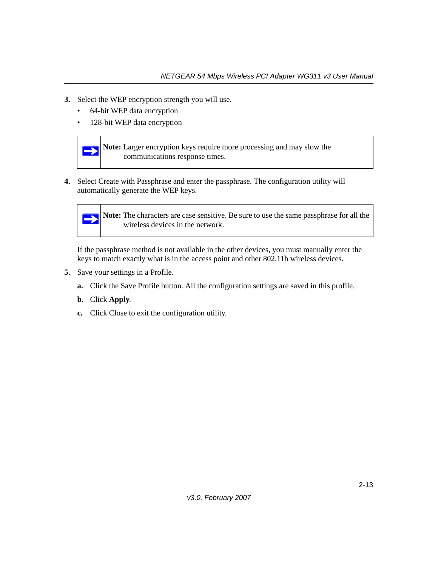- **3.** Select the WEP encryption strength you will use.
	- 64-bit WEP data encryption
	- 128-bit WEP data encryption

**Note:** Larger encryption keys require more processing and may slow the communications response times.

**4.** Select Create with Passphrase and enter the passphrase. The configuration utility will automatically generate the WEP keys.



 $\rightarrow$ 

**Note:** The characters are case sensitive. Be sure to use the same passphrase for all the wireless devices in the network.

If the passphrase method is not available in the other devices, you must manually enter the keys to match exactly what is in the access point and other 802.11b wireless devices.

- **5.** Save your settings in a Profile.
	- **a.** Click the Save Profile button. All the configuration settings are saved in this profile.
	- **b.** Click **Apply**.
	- **c.** Click Close to exit the configuration utility.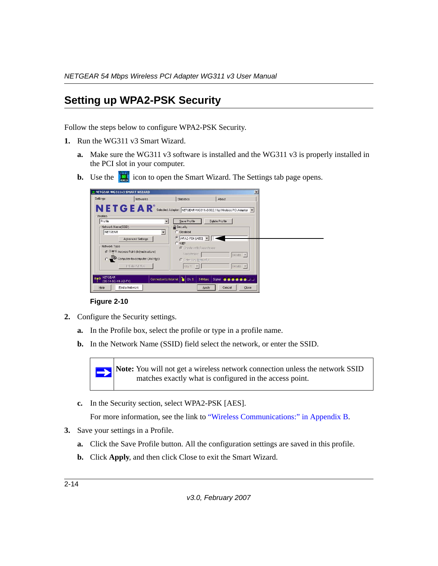## <span id="page-35-0"></span>**Setting up WPA2-PSK Security**

Follow the steps below to configure WPA2-PSK Security.

- **1.** Run the WG311 v3 Smart Wizard.
	- **a.** Make sure the WG311 v3 software is installed and the WG311 v3 is properly installed in the PCI slot in your computer.
	- **b.** Use the **interest in the Use of the Smart Wizard.** The Settings tab page opens.

| Settings                     | Networks                                                                    | <b>Statistics</b>                                                                     | About                  |           |  |
|------------------------------|-----------------------------------------------------------------------------|---------------------------------------------------------------------------------------|------------------------|-----------|--|
| Profiles                     |                                                                             | NETGEAR <sup>®</sup> Selected Adapter: NETGEAR WG311v3 802.11g Wireless PCI Adapter V |                        |           |  |
| Profile                      |                                                                             | Save Profile                                                                          | Delete Profile         |           |  |
| Network Name(SSID)           |                                                                             | <b>Q</b> Security                                                                     |                        |           |  |
| NETGEAR                      |                                                                             | C Disabled                                                                            |                        |           |  |
|                              | <b>Advanced Settings</b>                                                    | $\bullet$ WPA2-PSK [AES] $\bullet$                                                    |                        |           |  |
| Network Type                 |                                                                             | C WEP                                                                                 |                        |           |  |
|                              | $\sigma$ ( $\left(\left(\phi\right)\right)$ ) Access Point (Infrastructure) | C Create with Passphrase;                                                             |                        |           |  |
|                              |                                                                             | Passphrase:                                                                           |                        | 64 bits v |  |
|                              | C M Computer-to-computer (Ad Hoc)                                           | C Enter Key Manually:                                                                 |                        |           |  |
|                              | Initiate Ad Hoc                                                             | Key 1: -                                                                              |                        | 64 bits - |  |
|                              |                                                                             |                                                                                       |                        |           |  |
| <b><i>(Comp</i></b> NETGEAR) |                                                                             | Connected to Internet   Ch: 6<br>54Mbps                                               | Signal <b>cocococo</b> |           |  |
| (00-14-6C-44-AD-F4)          |                                                                             |                                                                                       |                        |           |  |



- **2.** Configure the Security settings.
	- **a.** In the Profile box, select the profile or type in a profile name.
	- **b.** In the Network Name (SSID) field select the network, or enter the SSID.

**Note:** You will not get a wireless network connection unless the network SSID matches exactly what is configured in the access point.

**c.** In the Security section, select WPA2-PSK [AES].

For more information, see the link to ["Wireless Communications:" in Appendix B.](#page-46-3)

- **3.** Save your settings in a Profile.
	- **a.** Click the Save Profile button. All the configuration settings are saved in this profile.
	- **b.** Click **Apply**, and then click Close to exit the Smart Wizard.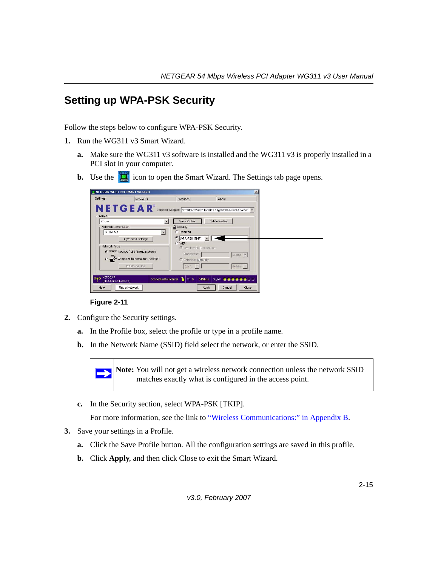## <span id="page-36-0"></span>**Setting up WPA-PSK Security**

Follow the steps below to configure WPA-PSK Security.

- **1.** Run the WG311 v3 Smart Wizard.
	- **a.** Make sure the WG311 v3 software is installed and the WG311 v3 is properly installed in a PCI slot in your computer.
	- **b.** Use the **interespersion** to open the Smart Wizard. The Settings tab page opens.

| Settings              | Networks                               | <b>Statistics</b>                                                                     | About                   |       |
|-----------------------|----------------------------------------|---------------------------------------------------------------------------------------|-------------------------|-------|
|                       |                                        | NETGEAR <sup>®</sup> Selected Adapter: NETGEAR WG311v3 802.11g Wireless PCI Adapter V |                         |       |
| Profiles              |                                        |                                                                                       |                         |       |
| Profile               |                                        | Save Profile                                                                          | Delete Profile          |       |
| Network Name(SSID)    |                                        | <b>Q</b> Security                                                                     |                         |       |
| NETGEAR               |                                        | C Disabled                                                                            |                         |       |
|                       | Advanced Settings                      | WPA-PSK [TKIP]                                                                        |                         |       |
|                       |                                        | C WEP                                                                                 |                         |       |
| Network Type          |                                        | C Create with Passphrase;                                                             |                         |       |
|                       | (C ((()) Access Point (Infrastructure) | Passphrase:                                                                           | 64 bits -               |       |
|                       | C Computer-to-computer (Ad Hoc)        | C Enter Key Manually:                                                                 |                         |       |
|                       | Initiate Ad Hoc-                       | Key 1:                                                                                | 64 bits -               |       |
|                       |                                        |                                                                                       |                         |       |
| <b>(Comp)</b> NETGEAR |                                        |                                                                                       |                         |       |
| (00-14-6C-44-AD-F4)   |                                        | Ch. 6<br>Connected to Internet<br>54Mbps<br>٠                                         | Signal <b>cook</b> cook |       |
| Help                  | Find a Network                         | Apply                                                                                 | Cancel                  | Close |



- **2.** Configure the Security settings.
	- **a.** In the Profile box, select the profile or type in a profile name.
	- **b.** In the Network Name (SSID) field select the network, or enter the SSID.

**Note:** You will not get a wireless network connection unless the network SSID matches exactly what is configured in the access point.

**c.** In the Security section, select WPA-PSK [TKIP].

For more information, see the link to ["Wireless Communications:" in Appendix B.](#page-46-3)

- **3.** Save your settings in a Profile.
	- **a.** Click the Save Profile button. All the configuration settings are saved in this profile.
	- **b.** Click **Apply**, and then click Close to exit the Smart Wizard.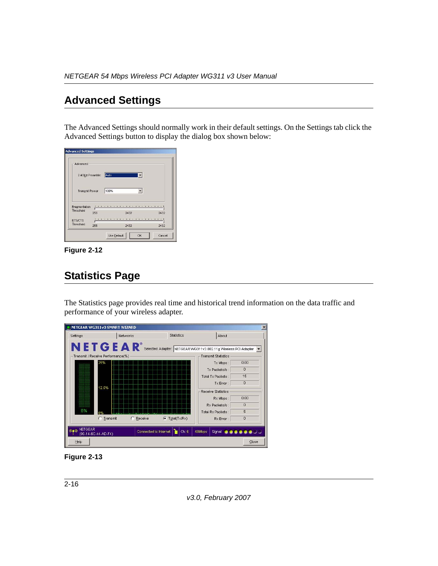## <span id="page-37-0"></span>**Advanced Settings**

The Advanced Settings should normally work in their default settings. On the Settings tab click the Advanced Settings button to display the dialog box shown below:

| Advanced                   |     |                        |                    |      |
|----------------------------|-----|------------------------|--------------------|------|
| 2.4GHz Preamble:           |     | Auto                   | E                  |      |
| Transmit Power             |     | 100%                   |                    |      |
| Fragmentation<br>Threshold |     | <b>BERTHERMAN AREA</b> | $1.1.1.1.1.1.1.1.$ |      |
|                            | 256 | 2432                   |                    | 2432 |
| <b>RTS/CTS</b>             |     |                        |                    |      |
| Threshold                  | 256 | 2432                   |                    | 2432 |



## <span id="page-37-1"></span>**Statistics Page**

The Statistics page provides real time and historical trend information on the data traffic and performance of your wireless adapter.

| Settings                              | Networks                | Statistics                                                                          | About                      |              |
|---------------------------------------|-------------------------|-------------------------------------------------------------------------------------|----------------------------|--------------|
|                                       |                         | NETGEAR <sup>®</sup> Selected Adapter: NETGEAR WG311v3 802.11g Wireless PCI Adapter |                            |              |
| Transmit / Receive Performance(%)     |                         |                                                                                     | <b>Transmit Statistics</b> |              |
| 25%                                   |                         |                                                                                     | $Tx$ Mbps:                 | 0.00         |
|                                       |                         |                                                                                     | Tx Packets/s:              | $\theta$     |
|                                       |                         |                                                                                     | Total Tx Packets:          | 15           |
|                                       |                         |                                                                                     | Tx Error:                  | $\mathbf{0}$ |
|                                       | 12.5%                   |                                                                                     | Receive Statistics         |              |
|                                       |                         |                                                                                     | Rx Mbps:                   | 0.00         |
|                                       |                         |                                                                                     | Rx Packets/s:              | $\theta$     |
| $0\%$<br>n%                           |                         |                                                                                     | Total Rx Packets:          | 5            |
|                                       | <b>C</b> Transmit<br>C. | Receive<br>$\bullet$ Total(Tx/Rx)                                                   | Rx Error:                  | $\theta$     |
| <b>NETGEAR</b><br>(00-14-6C-44-AD-F4) |                         | Connected to Internet<br>Ch: 6                                                      | 48Mbps<br>Signal           |              |

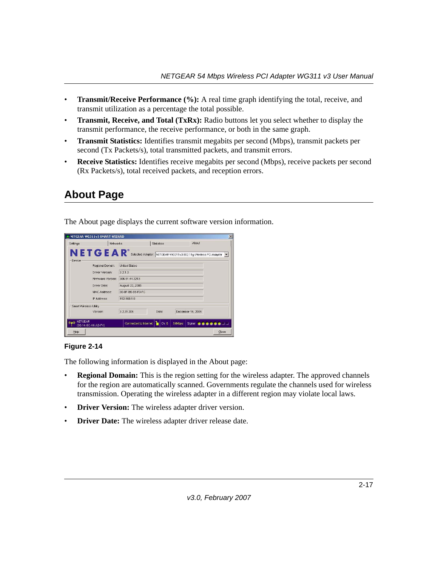- **Transmit/Receive Performance (%):** A real time graph identifying the total, receive, and transmit utilization as a percentage the total possible.
- **Transmit, Receive, and Total (TxRx):** Radio buttons let you select whether to display the transmit performance, the receive performance, or both in the same graph.
- **Transmit Statistics:** Identifies transmit megabits per second (Mbps), transmit packets per second (Tx Packets/s), total transmitted packets, and transmit errors.
- **Receive Statistics:** Identifies receive megabits per second (Mbps), receive packets per second (Rx Packets/s), total received packets, and reception errors.

## <span id="page-38-0"></span>**About Page**

The About page displays the current software version information.

| Settings                      |                     |                                                                                     |       |                   |        |  |
|-------------------------------|---------------------|-------------------------------------------------------------------------------------|-------|-------------------|--------|--|
|                               |                     | NETGEAR <sup>®</sup> Selected Adapter: NETGEAR WG311v3 802.11g Wireless PCI Adapter |       |                   |        |  |
| Device                        | Regional Domain:    | <b>United States</b>                                                                |       |                   |        |  |
|                               | Driver Version:     | 3.2.1.3                                                                             |       |                   |        |  |
|                               | Firmware Version:   | 306.51.44.3213                                                                      |       |                   |        |  |
|                               | Driver Date:        | August 22, 2005                                                                     |       |                   |        |  |
|                               | <b>MAC Address:</b> | 00-0F-B5-88-F3-FC                                                                   |       |                   |        |  |
|                               | IP Address:         | 192.168.1.8                                                                         |       |                   |        |  |
| <b>Smart Wireless Utility</b> |                     |                                                                                     |       |                   |        |  |
|                               | Version:            | 3 2 31 306                                                                          | Date: | December 16, 2005 |        |  |
| <b>(@@@</b> NETGEAR           | (00-14-6C-44-AD-F4) | Connected to Internet                                                               | Ch: 6 | 54Mbps            | Signal |  |

### **Figure 2-14**

The following information is displayed in the About page:

- **Regional Domain:** This is the region setting for the wireless adapter. The approved channels for the region are automatically scanned. Governments regulate the channels used for wireless transmission. Operating the wireless adapter in a different region may violate local laws.
- **Driver Version:** The wireless adapter driver version.
- **Driver Date:** The wireless adapter driver release date.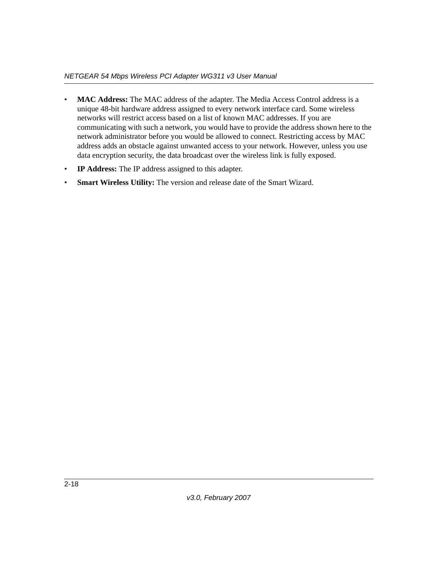- **MAC Address:** The MAC address of the adapter. The Media Access Control address is a unique 48-bit hardware address assigned to every network interface card. Some wireless networks will restrict access based on a list of known MAC addresses. If you are communicating with such a network, you would have to provide the address shown here to the network administrator before you would be allowed to connect. Restricting access by MAC address adds an obstacle against unwanted access to your network. However, unless you use data encryption security, the data broadcast over the wireless link is fully exposed.
- **IP Address:** The IP address assigned to this adapter.
- **Smart Wireless Utility:** The version and release date of the Smart Wizard.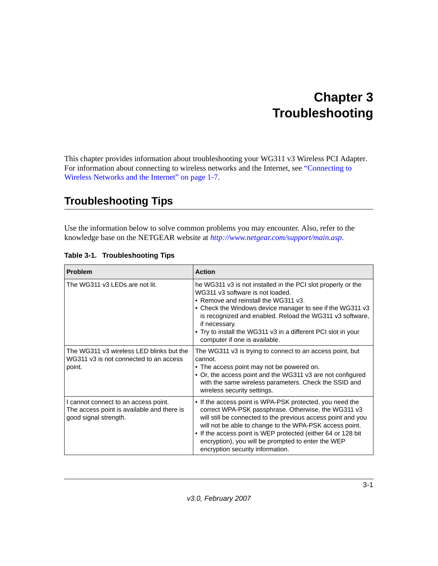## <span id="page-40-2"></span>**Chapter 3 Troubleshooting**

<span id="page-40-0"></span>This chapter provides information about troubleshooting your WG311 v3 Wireless PCI Adapter. For information about connecting to wireless networks and the Internet, see ["Connecting to](#page-18-1)  [Wireless Networks and the Internet" on page 1-7.](#page-18-1)

## <span id="page-40-1"></span>**Troubleshooting Tips**

Use the information below to solve common problems you may encounter. Also, refer to the knowledge base on the NETGEAR website at *<http://www.netgear.com/support/main.asp>*.

**Table 3-1. Troubleshooting Tips**

| <b>Problem</b>                                                                                              | <b>Action</b>                                                                                                                                                                                                                                                                                                                                                                                         |
|-------------------------------------------------------------------------------------------------------------|-------------------------------------------------------------------------------------------------------------------------------------------------------------------------------------------------------------------------------------------------------------------------------------------------------------------------------------------------------------------------------------------------------|
| The WG311 v3 LEDs are not lit.                                                                              | he WG311 v3 is not installed in the PCI slot properly or the<br>WG311 v3 software is not loaded.<br>• Remove and reinstall the WG311 v3.<br>• Check the Windows device manager to see if the WG311 v3<br>is recognized and enabled. Reload the WG311 v3 software,<br>if necessary.<br>• Try to install the WG311 v3 in a different PCI slot in your<br>computer if one is available.                  |
| The WG311 v3 wireless LED blinks but the<br>WG311 v3 is not connected to an access<br>point.                | The WG311 v3 is trying to connect to an access point, but<br>cannot.<br>• The access point may not be powered on.<br>• Or, the access point and the WG311 v3 are not configured<br>with the same wireless parameters. Check the SSID and<br>wireless security settings.                                                                                                                               |
| I cannot connect to an access point.<br>The access point is available and there is<br>good signal strength. | • If the access point is WPA-PSK protected, you need the<br>correct WPA-PSK passphrase. Otherwise, the WG311 v3<br>will still be connected to the previous access point and you<br>will not be able to change to the WPA-PSK access point.<br>• If the access point is WEP protected (either 64 or 128 bit)<br>encryption), you will be prompted to enter the WEP<br>encryption security information. |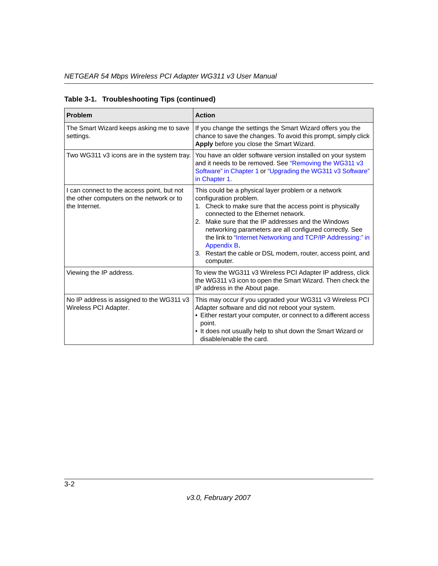|  | Table 3-1. Troubleshooting Tips (continued) |  |
|--|---------------------------------------------|--|
|--|---------------------------------------------|--|

| Problem                                                                                                 | <b>Action</b>                                                                                                                                                                                                                                                                                                                                                                                                                                                |
|---------------------------------------------------------------------------------------------------------|--------------------------------------------------------------------------------------------------------------------------------------------------------------------------------------------------------------------------------------------------------------------------------------------------------------------------------------------------------------------------------------------------------------------------------------------------------------|
| The Smart Wizard keeps asking me to save<br>settings.                                                   | If you change the settings the Smart Wizard offers you the<br>chance to save the changes. To avoid this prompt, simply click<br>Apply before you close the Smart Wizard.                                                                                                                                                                                                                                                                                     |
| Two WG311 v3 icons are in the system tray.                                                              | You have an older software version installed on your system<br>and it needs to be removed. See "Removing the WG311 v3<br>Software" in Chapter 1 or "Upgrading the WG311 v3 Software"<br>in Chapter 1.                                                                                                                                                                                                                                                        |
| I can connect to the access point, but not<br>the other computers on the network or to<br>the Internet. | This could be a physical layer problem or a network<br>configuration problem.<br>1. Check to make sure that the access point is physically<br>connected to the Ethernet network.<br>2. Make sure that the IP addresses and the Windows<br>networking parameters are all configured correctly. See<br>the link to "Internet Networking and TCP/IP Addressing:" in<br>Appendix B.<br>3. Restart the cable or DSL modem, router, access point, and<br>computer. |
| Viewing the IP address.                                                                                 | To view the WG311 v3 Wireless PCI Adapter IP address, click<br>the WG311 v3 icon to open the Smart Wizard. Then check the<br>IP address in the About page.                                                                                                                                                                                                                                                                                                   |
| No IP address is assigned to the WG311 v3<br>Wireless PCI Adapter.                                      | This may occur if you upgraded your WG311 v3 Wireless PCI<br>Adapter software and did not reboot your system.<br>• Either restart your computer, or connect to a different access<br>point.<br>• It does not usually help to shut down the Smart Wizard or<br>disable/enable the card.                                                                                                                                                                       |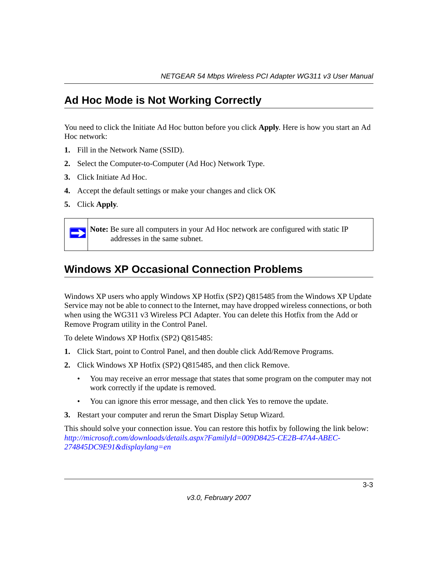## <span id="page-42-0"></span>**Ad Hoc Mode is Not Working Correctly**

You need to click the Initiate Ad Hoc button before you click **Apply**. Here is how you start an Ad Hoc network:

- **1.** Fill in the Network Name (SSID).
- **2.** Select the Computer-to-Computer (Ad Hoc) Network Type.
- **3.** Click Initiate Ad Hoc.
- **4.** Accept the default settings or make your changes and click OK
- **5.** Click **Apply**.

**Note:** Be sure all computers in your Ad Hoc network are configured with static IP addresses in the same subnet.

### <span id="page-42-1"></span>**Windows XP Occasional Connection Problems**

Windows XP users who apply Windows XP Hotfix (SP2) Q815485 from the Windows XP Update Service may not be able to connect to the Internet, may have dropped wireless connections, or both when using the WG311 v3 Wireless PCI Adapter. You can delete this Hotfix from the Add or Remove Program utility in the Control Panel.

To delete Windows XP Hotfix (SP2) Q815485:

- **1.** Click Start, point to Control Panel, and then double click Add/Remove Programs.
- **2.** Click Windows XP Hotfix (SP2) Q815485, and then click Remove.
	- You may receive an error message that states that some program on the computer may not work correctly if the update is removed.
	- You can ignore this error message, and then click Yes to remove the update.
- **3.** Restart your computer and rerun the Smart Display Setup Wizard.

This should solve your connection issue. You can restore this hotfix by following the link below: *[http://microsoft.com/downloads/details.aspx?FamilyId=009D8425-CE2B-47A4-ABEC-](http://microsoft.com/downloads/details.aspx?FamilyId=009D8425-CE2B-47A4-ABEC-274845DC9E91&displaylang=en)274845DC9E91&displaylang=en*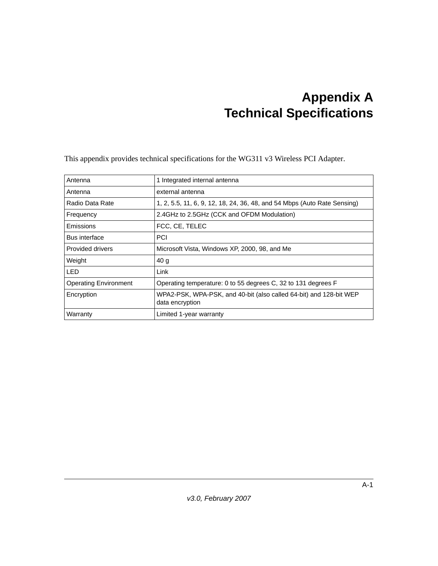## **Appendix A Technical Specifications**

<span id="page-44-0"></span>This appendix provides technical specifications for the WG311 v3 Wireless PCI Adapter.

| Antenna                      | 1 Integrated internal antenna                                                         |
|------------------------------|---------------------------------------------------------------------------------------|
| Antenna                      | external antenna                                                                      |
| Radio Data Rate              | 1, 2, 5.5, 11, 6, 9, 12, 18, 24, 36, 48, and 54 Mbps (Auto Rate Sensing)              |
| Frequency                    | 2.4 GHz to 2.5 GHz (CCK and OFDM Modulation)                                          |
| Emissions                    | FCC, CE, TELEC                                                                        |
| <b>Bus interface</b>         | <b>PCI</b>                                                                            |
| Provided drivers             | Microsoft Vista, Windows XP, 2000, 98, and Me                                         |
| Weight                       | 40 g                                                                                  |
| <b>LED</b>                   | Link                                                                                  |
| <b>Operating Environment</b> | Operating temperature: 0 to 55 degrees C, 32 to 131 degrees F                         |
| Encryption                   | WPA2-PSK, WPA-PSK, and 40-bit (also called 64-bit) and 128-bit WEP<br>data encryption |
| Warranty                     | Limited 1-year warranty                                                               |